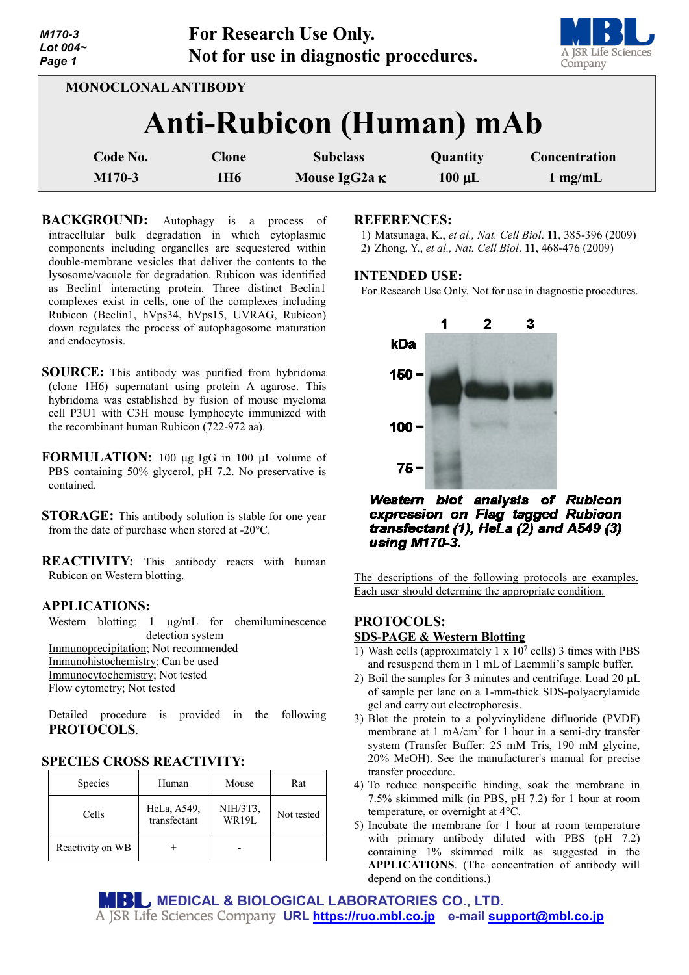| M170-3<br>Lot $004-$<br>Page 1 |                            | For Research Use Only.<br>Not for use in diagnostic procedures. |             | A JSR Life Sciences<br>Company |
|--------------------------------|----------------------------|-----------------------------------------------------------------|-------------|--------------------------------|
|                                | <b>MONOCLONAL ANTIBODY</b> |                                                                 |             |                                |
|                                |                            | <b>Anti-Rubicon (Human) mAb</b>                                 |             |                                |
| Code No.                       | Clone                      | <b>Subclass</b>                                                 | Quantity    | Concentration                  |
| M170-3                         | 1H <sub>6</sub>            | Mouse IgG2a K                                                   | $100 \mu L$ | $1$ mg/mL                      |

**BACKGROUND:** Autophagy is a process of intracellular bulk degradation in which cytoplasmic components including organelles are sequestered within double-membrane vesicles that deliver the contents to the lysosome/vacuole for degradation. Rubicon was identified as Beclin1 interacting protein. Three distinct Beclin1 complexes exist in cells, one of the complexes including Rubicon (Beclin1, hVps34, hVps15, UVRAG, Rubicon) down regulates the process of autophagosome maturation and endocytosis.

**SOURCE:** This antibody was purified from hybridoma (clone 1H6) supernatant using protein A agarose. This hybridoma was established by fusion of mouse myeloma cell P3U1 with C3H mouse lymphocyte immunized with the recombinant human Rubicon (722-972 aa).

**FORMULATION:** 100 µg IgG in 100 µL volume of PBS containing 50% glycerol, pH 7.2. No preservative is contained.

**STORAGE:** This antibody solution is stable for one year from the date of purchase when stored at -20°C.

**REACTIVITY:** This antibody reacts with human Rubicon on Western blotting.

## **APPLICATIONS:**

Western blotting; 1  $\mu$ g/mL for chemiluminescence detection system Immunoprecipitation; Not recommended Immunohistochemistry; Can be used Immunocytochemistry; Not tested Flow cytometry; Not tested

Detailed procedure is provided in the following **PROTOCOLS**.

### **SPECIES CROSS REACTIVITY:**

| Species          | Human                       | Mouse             | Rat        |
|------------------|-----------------------------|-------------------|------------|
| Cells            | HeLa, A549,<br>transfectant | NIH/3T3,<br>WR19L | Not tested |
| Reactivity on WB |                             |                   |            |

#### **REFERENCES:**

1) Matsunaga, K., *et al., Nat. Cell Biol*. **11**, 385-396 (2009) 2) Zhong, Y., *et al., Nat. Cell Biol*. **11**, 468-476 (2009)

#### **INTENDED USE:**

For Research Use Only. Not for use in diagnostic procedures.



Western blot analysis of Rubicon expression on Flag tagged Rubicon transfectant  $(1)$ , HeLa  $(2)$  and A549  $(3)$ using M170-3.

The descriptions of the following protocols are examples. Each user should determine the appropriate condition.

### **PROTOCOLS:**

### **SDS-PAGE & Western Blotting**

- 1) Wash cells (approximately  $1 \times 10^7$  cells) 3 times with PBS and resuspend them in 1 mL of Laemmli's sample buffer.
- 2) Boil the samples for 3 minutes and centrifuge. Load 20  $\mu$ L of sample per lane on a 1-mm-thick SDS-polyacrylamide gel and carry out electrophoresis.
- 3) Blot the protein to a polyvinylidene difluoride (PVDF) membrane at 1 mA/cm<sup>2</sup> for 1 hour in a semi-dry transfer system (Transfer Buffer: 25 mM Tris, 190 mM glycine, 20% MeOH). See the manufacturer's manual for precise transfer procedure.
- 4) To reduce nonspecific binding, soak the membrane in 7.5% skimmed milk (in PBS, pH 7.2) for 1 hour at room temperature, or overnight at 4°C.
- 5) Incubate the membrane for 1 hour at room temperature with primary antibody diluted with PBS (pH 7.2) containing 1% skimmed milk as suggested in the **APPLICATIONS**. (The concentration of antibody will depend on the conditions.)

**MEDICAL & BIOLOGICAL LABORATORIES CO., LTD.**

**URL [https://ruo.mbl.co.jp](https://ruo.mbl.co.jp/) e-mail [support@mbl.co.jp](mailto:support@mbl.co.jp)**